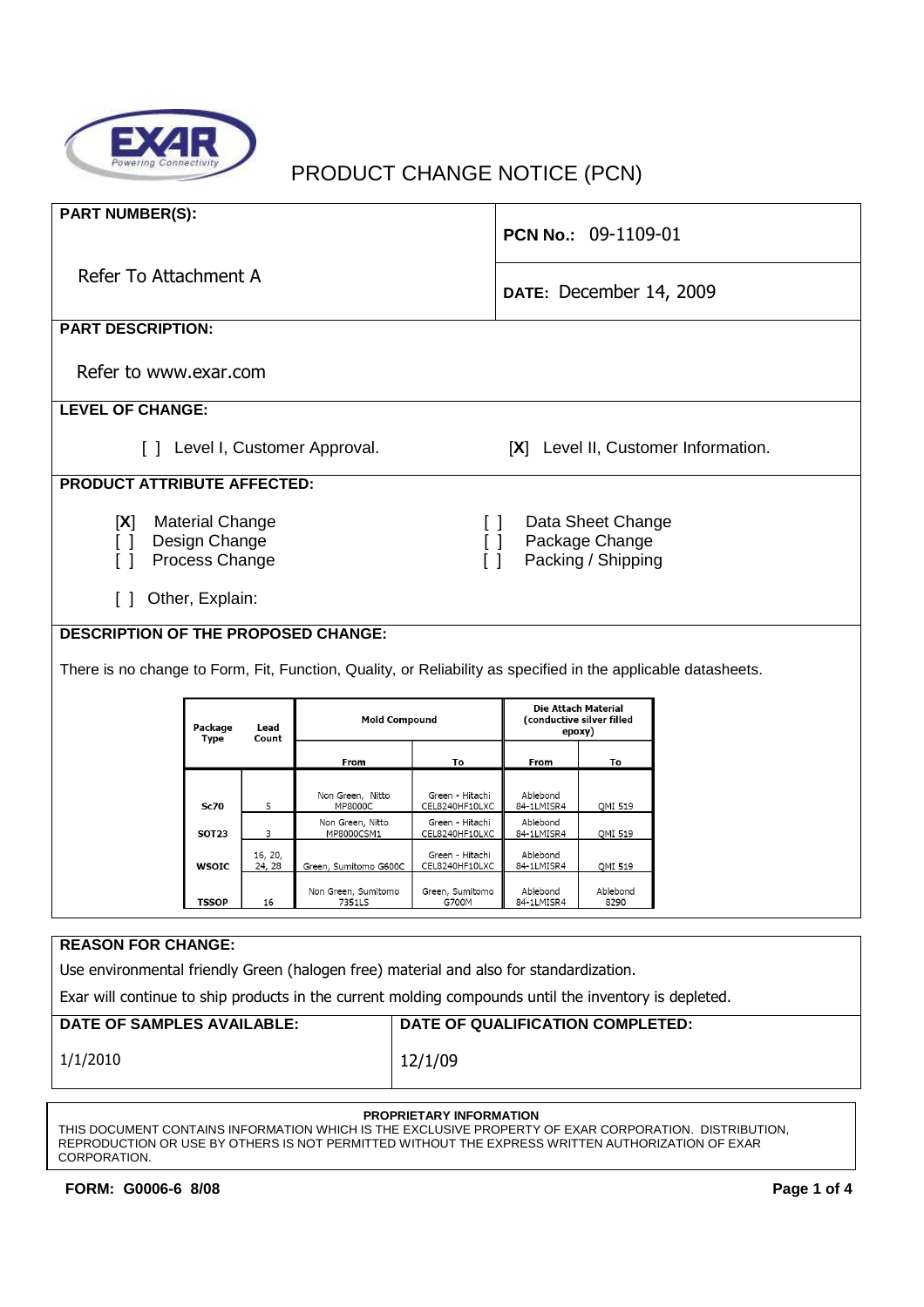

# PRODUCT CHANGE NOTICE (PCN)

| <b>PART NUMBER(S):</b>                                                                                                                                                                                           |              |                                  |                                    | PCN No.: 09-1109-01               |                                                            |                  |  |
|------------------------------------------------------------------------------------------------------------------------------------------------------------------------------------------------------------------|--------------|----------------------------------|------------------------------------|-----------------------------------|------------------------------------------------------------|------------------|--|
| Refer To Attachment A                                                                                                                                                                                            |              |                                  |                                    |                                   | DATE: December 14, 2009                                    |                  |  |
| <b>PART DESCRIPTION:</b>                                                                                                                                                                                         |              |                                  |                                    |                                   |                                                            |                  |  |
| Refer to www.exar.com                                                                                                                                                                                            |              |                                  |                                    |                                   |                                                            |                  |  |
| <b>LEVEL OF CHANGE:</b>                                                                                                                                                                                          |              |                                  |                                    |                                   |                                                            |                  |  |
| [X] Level II, Customer Information.<br>$\Box$<br>Level I, Customer Approval.                                                                                                                                     |              |                                  |                                    |                                   |                                                            |                  |  |
| <b>PRODUCT ATTRIBUTE AFFECTED:</b>                                                                                                                                                                               |              |                                  |                                    |                                   |                                                            |                  |  |
| <b>Material Change</b><br>Data Sheet Change<br>[X]<br>$\Box$<br>Design Change<br>Package Change<br>$\Box$<br>$\Box$<br>Packing / Shipping<br>Process Change<br>$\Box$<br>$\lceil$ 1<br>Other, Explain:<br>$\Box$ |              |                                  |                                    |                                   |                                                            |                  |  |
| <b>DESCRIPTION OF THE PROPOSED CHANGE:</b>                                                                                                                                                                       |              |                                  |                                    |                                   |                                                            |                  |  |
|                                                                                                                                                                                                                  |              |                                  |                                    |                                   |                                                            |                  |  |
| There is no change to Form, Fit, Function, Quality, or Reliability as specified in the applicable datasheets.                                                                                                    |              |                                  |                                    |                                   |                                                            |                  |  |
|                                                                                                                                                                                                                  |              | Package<br>Lead<br>Type<br>Count | <b>Mold Compound</b>               |                                   | Die Attach Material<br>(conductive silver filled<br>epoxy) |                  |  |
|                                                                                                                                                                                                                  |              |                                  | From                               | To                                | From                                                       | To               |  |
|                                                                                                                                                                                                                  | <b>Sc70</b>  | 5                                | Non Green, Nitto<br><b>MP8000C</b> | Green - Hitachi<br>CEL8240HF10LXC | Ablebond<br>84-1LMISR4                                     | QMI 519          |  |
|                                                                                                                                                                                                                  | <b>SOT23</b> | 3                                | Non Green, Nitto<br>MP8000CSM1     | Green Hitachi<br>CEL8240HF10LXC   | Ablebond<br>84-1LMISR4                                     | QMI 519          |  |
|                                                                                                                                                                                                                  | <b>WSOIC</b> | 16, 20,<br>24, 28                | Green, Sumitomo G600C              | Green - Hitachi<br>CEL8240HF10LXC | Ablebond<br>84-1LMISR4                                     | QMI 519          |  |
|                                                                                                                                                                                                                  | <b>TSSOP</b> | 16                               | Non Green, Sumitomo<br>7351LS      | Green, Sumitomo<br>G700M          | Ablebond<br>84-1LMISR4                                     | Ablebond<br>8290 |  |

### **REASON FOR CHANGE:**

Use environmental friendly Green (halogen free) material and also for standardization.

Exar will continue to ship products in the current molding compounds until the inventory is depleted.

| DATE OF SAMPLES AVAILABLE: | DATE OF QUALIFICATION COMPLETED: |
|----------------------------|----------------------------------|
| 1/1/2010                   | 12/1/09                          |

#### **PROPRIETARY INFORMATION**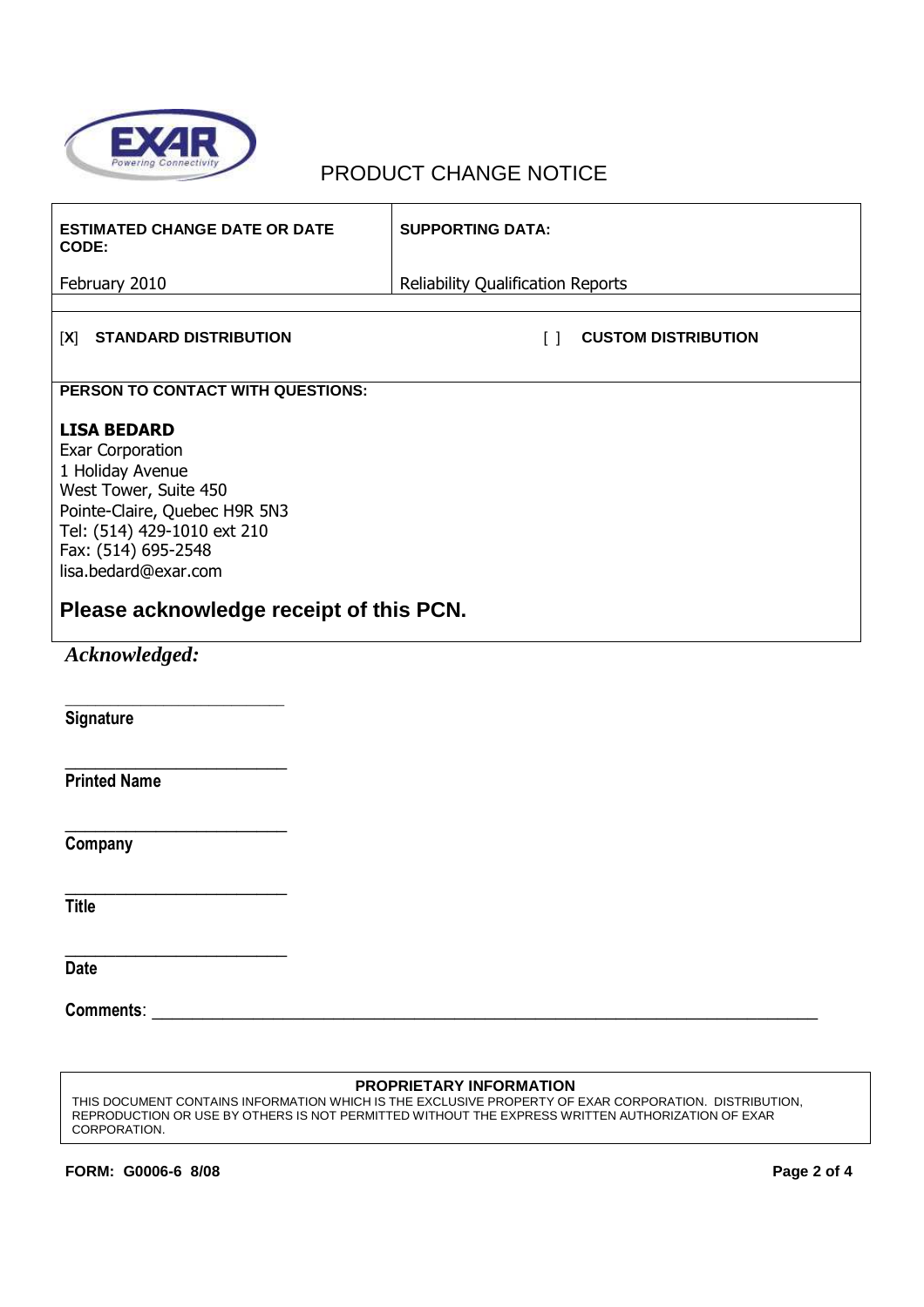

## PRODUCT CHANGE NOTICE

| <b>ESTIMATED CHANGE DATE OR DATE</b><br>CODE:                                                                                                                                                      | <b>SUPPORTING DATA:</b>                  |                            |  |  |
|----------------------------------------------------------------------------------------------------------------------------------------------------------------------------------------------------|------------------------------------------|----------------------------|--|--|
| February 2010                                                                                                                                                                                      | <b>Reliability Qualification Reports</b> |                            |  |  |
| <b>STANDARD DISTRIBUTION</b><br>[X]                                                                                                                                                                | $\lceil$ $\rceil$                        | <b>CUSTOM DISTRIBUTION</b> |  |  |
| PERSON TO CONTACT WITH QUESTIONS:                                                                                                                                                                  |                                          |                            |  |  |
| <b>LISA BEDARD</b><br>Exar Corporation<br>1 Holiday Avenue<br>West Tower, Suite 450<br>Pointe-Claire, Quebec H9R 5N3<br>Tel: (514) 429-1010 ext 210<br>Fax: (514) 695-2548<br>lisa.bedard@exar.com |                                          |                            |  |  |
| Please acknowledge receipt of this PCN.                                                                                                                                                            |                                          |                            |  |  |
| Acknowledged:                                                                                                                                                                                      |                                          |                            |  |  |
| Signature                                                                                                                                                                                          |                                          |                            |  |  |
| <b>Printed Name</b>                                                                                                                                                                                |                                          |                            |  |  |
| Company                                                                                                                                                                                            |                                          |                            |  |  |
| <b>Title</b>                                                                                                                                                                                       |                                          |                            |  |  |
| <b>Date</b>                                                                                                                                                                                        |                                          |                            |  |  |
| <b>Comments:</b><br><u> 1980 - Jan Barnett, mars andrew Maria (h. 1980).</u>                                                                                                                       |                                          |                            |  |  |

#### **PROPRIETARY INFORMATION**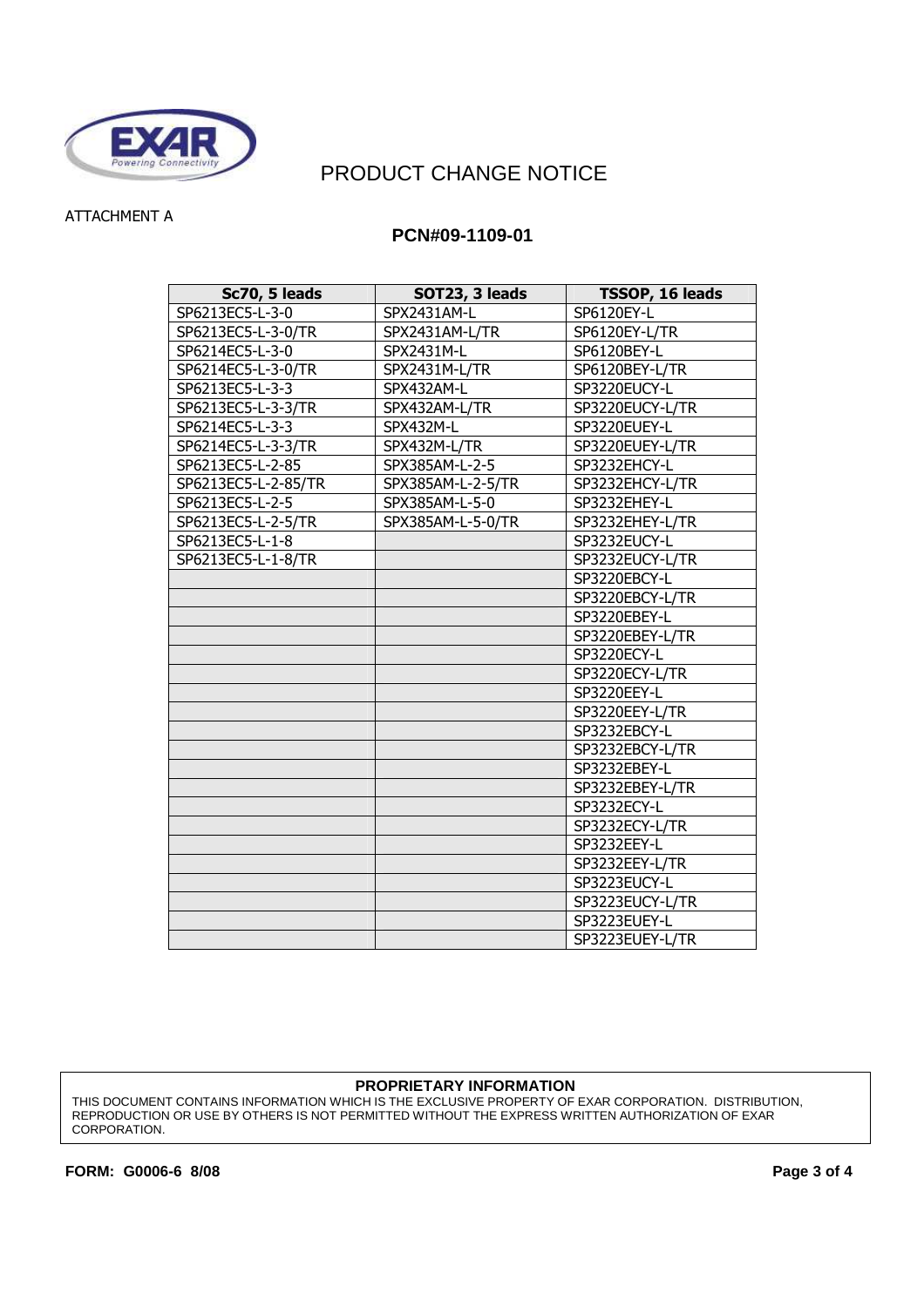

## PRODUCT CHANGE NOTICE

## ATTACHMENT A

## **PCN#09-1109-01**

| Sc70, 5 leads       | SOT23, 3 leads    | TSSOP, 16 leads |
|---------------------|-------------------|-----------------|
| SP6213EC5-L-3-0     | SPX2431AM-L       | SP6120EY-L      |
| SP6213EC5-L-3-0/TR  | SPX2431AM-L/TR    | SP6120EY-L/TR   |
| SP6214EC5-L-3-0     | SPX2431M-L        | SP6120BEY-L     |
| SP6214EC5-L-3-0/TR  | SPX2431M-L/TR     | SP6120BEY-L/TR  |
| SP6213EC5-L-3-3     | SPX432AM-L        | SP3220EUCY-L    |
| SP6213EC5-L-3-3/TR  | SPX432AM-L/TR     | SP3220EUCY-L/TR |
| SP6214EC5-L-3-3     | SPX432M-L         | SP3220EUEY-L    |
| SP6214EC5-L-3-3/TR  | SPX432M-L/TR      | SP3220EUEY-L/TR |
| SP6213EC5-L-2-85    | SPX385AM-L-2-5    | SP3232EHCY-L    |
| SP6213EC5-L-2-85/TR | SPX385AM-L-2-5/TR | SP3232EHCY-L/TR |
| SP6213EC5-L-2-5     | SPX385AM-L-5-0    | SP3232EHEY-L    |
| SP6213EC5-L-2-5/TR  | SPX385AM-L-5-0/TR | SP3232EHEY-L/TR |
| SP6213EC5-L-1-8     |                   | SP3232EUCY-L    |
| SP6213EC5-L-1-8/TR  |                   | SP3232EUCY-L/TR |
|                     |                   | SP3220EBCY-L    |
|                     |                   | SP3220EBCY-L/TR |
|                     |                   | SP3220EBEY-L    |
|                     |                   | SP3220EBEY-L/TR |
|                     |                   | SP3220ECY-L     |
|                     |                   | SP3220ECY-L/TR  |
|                     |                   | SP3220EEY-L     |
|                     |                   | SP3220EEY-L/TR  |
|                     |                   | SP3232EBCY-L    |
|                     |                   | SP3232EBCY-L/TR |
|                     |                   | SP3232EBEY-L    |
|                     |                   | SP3232EBEY-L/TR |
|                     |                   | SP3232ECY-L     |
|                     |                   | SP3232ECY-L/TR  |
|                     |                   | SP3232EEY-L     |
|                     |                   | SP3232EEY-L/TR  |
|                     |                   | SP3223EUCY-L    |
|                     |                   | SP3223EUCY-L/TR |
|                     |                   | SP3223EUEY-L    |
|                     |                   | SP3223EUEY-L/TR |

#### **PROPRIETARY INFORMATION**